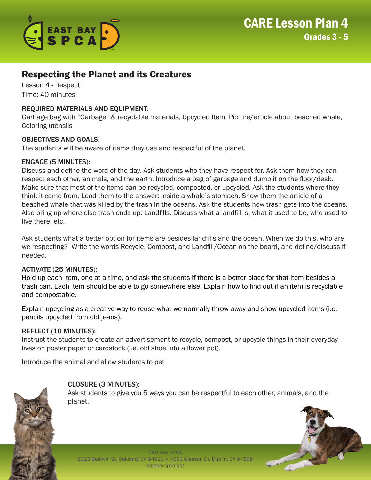

# Respecting the Planet and its Creatures

Lesson 4 - Respect Time: 40 minutes

## REQUIRED MATERIALS AND EQUIPMENT:

Garbage bag with "Garbage" & recyclable materials, Upcycled Item, Picture/article about beached whale, Coloring utensils

### OBJECTIVES AND GOALS:

The students will be aware of items they use and respectful of the planet.

#### ENGAGE (5 MINUTES):

Discuss and define the word of the day. Ask students who they have respect for. Ask them how they can respect each other, animals, and the earth. Introduce a bag of garbage and dump it on the floor/desk. Make sure that most of the items can be recycled, composted, or upcycled. Ask the students where they think it came from. Lead them to the answer: inside a whale's stomach. Show them the article of a beached whale that was killed by the trash in the oceans. Ask the students how trash gets into the oceans. Also bring up where else trash ends up: Landfills. Discuss what a landfill is, what it used to be, who used to live there, etc.

Ask students what a better option for items are besides landfills and the ocean. When we do this, who are we respecting? Write the words Recycle, Compost, and Landfill/Ocean on the board, and define/discuss if needed.

#### ACTIVATE (25 MINUTES):

Hold up each item, one at a time, and ask the students if there is a better place for that item besides a trash can. Each item should be able to go somewhere else. Explain how to find out if an item is recyclable and compostable.

Explain upcycling as a creative way to reuse what we normally throw away and show upcycled items (i.e. pencils upcycled from old jeans).

#### REFLECT (10 MINUTES):

Instruct the students to create an advertisement to recycle, compost, or upcycle things in their everyday lives on poster paper or cardstock (i.e. old shoe into a flower pot).

Introduce the animal and allow students to pet

## CLOSURE (3 MINUTES):